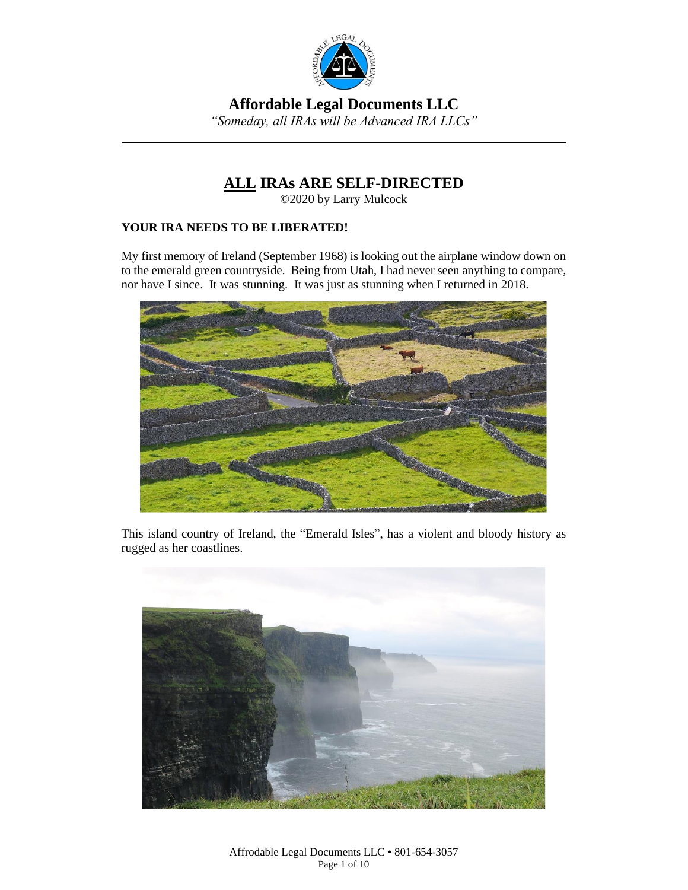

**Affordable Legal Documents LLC**

*"Someday, all IRAs will be Advanced IRA LLCs"*

# **ALL IRAs ARE SELF-DIRECTED**

©2020 by Larry Mulcock

# **YOUR IRA NEEDS TO BE LIBERATED!**

My first memory of Ireland (September 1968) is looking out the airplane window down on to the emerald green countryside. Being from Utah, I had never seen anything to compare, nor have I since. It was stunning. It was just as stunning when I returned in 2018.



This island country of Ireland, the "Emerald Isles", has a violent and bloody history as rugged as her coastlines.

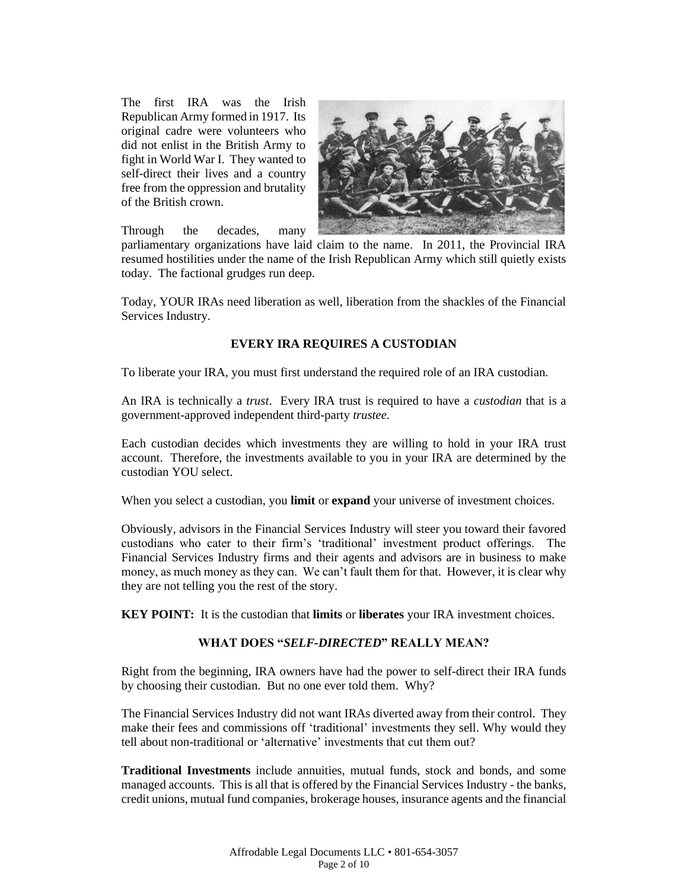The first IRA was the Irish Republican Army formed in 1917. Its original cadre were volunteers who did not enlist in the British Army to fight in World War I. They wanted to self-direct their lives and a country free from the oppression and brutality of the British crown.



Through the decades, many

parliamentary organizations have laid claim to the name. In 2011, the Provincial IRA resumed hostilities under the name of the Irish Republican Army which still quietly exists today. The factional grudges run deep.

Today, YOUR IRAs need liberation as well, liberation from the shackles of the Financial Services Industry.

# **EVERY IRA REQUIRES A CUSTODIAN**

To liberate your IRA, you must first understand the required role of an IRA custodian.

An IRA is technically a *trust*. Every IRA trust is required to have a *custodian* that is a government-approved independent third-party *trustee*.

Each custodian decides which investments they are willing to hold in your IRA trust account. Therefore, the investments available to you in your IRA are determined by the custodian YOU select.

When you select a custodian, you **limit** or **expand** your universe of investment choices.

Obviously, advisors in the Financial Services Industry will steer you toward their favored custodians who cater to their firm's 'traditional' investment product offerings. The Financial Services Industry firms and their agents and advisors are in business to make money, as much money as they can. We can't fault them for that. However, it is clear why they are not telling you the rest of the story.

**KEY POINT:** It is the custodian that **limits** or **liberates** your IRA investment choices.

# **WHAT DOES "***SELF-DIRECTED***" REALLY MEAN?**

Right from the beginning, IRA owners have had the power to self-direct their IRA funds by choosing their custodian. But no one ever told them. Why?

The Financial Services Industry did not want IRAs diverted away from their control. They make their fees and commissions off 'traditional' investments they sell. Why would they tell about non-traditional or 'alternative' investments that cut them out?

**Traditional Investments** include annuities, mutual funds, stock and bonds, and some managed accounts. This is all that is offered by the Financial Services Industry - the banks, credit unions, mutual fund companies, brokerage houses, insurance agents and the financial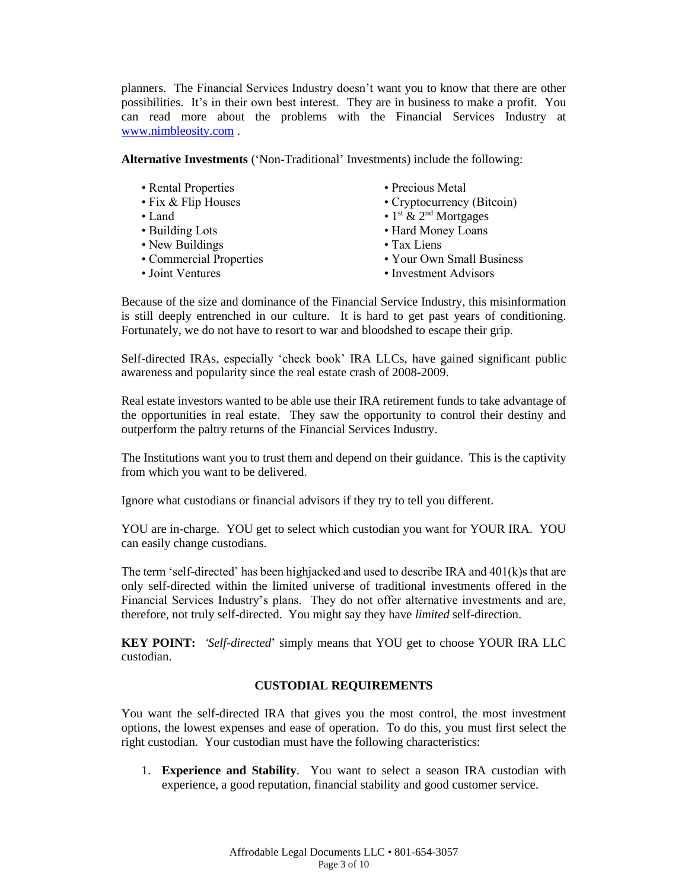planners. The Financial Services Industry doesn't want you to know that there are other possibilities. It's in their own best interest. They are in business to make a profit. You can read more about the problems with the Financial Services Industry at [www.nimbleosity.com](http://www.nimbleosity.com/) .

**Alternative Investments** ('Non-Traditional' Investments) include the following:

| • Rental Properties     | • Precious Metal                              |
|-------------------------|-----------------------------------------------|
| • Fix & Flip Houses     | • Cryptocurrency (Bitcoin)                    |
| $\bullet$ Land          | • $1^{\text{st}}$ & $2^{\text{nd}}$ Mortgages |
| • Building Lots         | • Hard Money Loans                            |
| • New Buildings         | • Tax Liens                                   |
| • Commercial Properties | • Your Own Small Business                     |
| • Joint Ventures        | • Investment Advisors                         |
|                         |                                               |

Because of the size and dominance of the Financial Service Industry, this misinformation is still deeply entrenched in our culture. It is hard to get past years of conditioning. Fortunately, we do not have to resort to war and bloodshed to escape their grip.

Self-directed IRAs, especially 'check book' IRA LLCs, have gained significant public awareness and popularity since the real estate crash of 2008-2009.

Real estate investors wanted to be able use their IRA retirement funds to take advantage of the opportunities in real estate. They saw the opportunity to control their destiny and outperform the paltry returns of the Financial Services Industry.

The Institutions want you to trust them and depend on their guidance. This is the captivity from which you want to be delivered.

Ignore what custodians or financial advisors if they try to tell you different.

YOU are in-charge. YOU get to select which custodian you want for YOUR IRA. YOU can easily change custodians.

The term 'self-directed' has been highjacked and used to describe IRA and 401(k)s that are only self-directed within the limited universe of traditional investments offered in the Financial Services Industry's plans. They do not offer alternative investments and are, therefore, not truly self-directed. You might say they have *limited* self-direction.

**KEY POINT:** *'Self-directed*' simply means that YOU get to choose YOUR IRA LLC custodian.

### **CUSTODIAL REQUIREMENTS**

You want the self-directed IRA that gives you the most control, the most investment options, the lowest expenses and ease of operation. To do this, you must first select the right custodian. Your custodian must have the following characteristics:

1. **Experience and Stability**. You want to select a season IRA custodian with experience, a good reputation, financial stability and good customer service.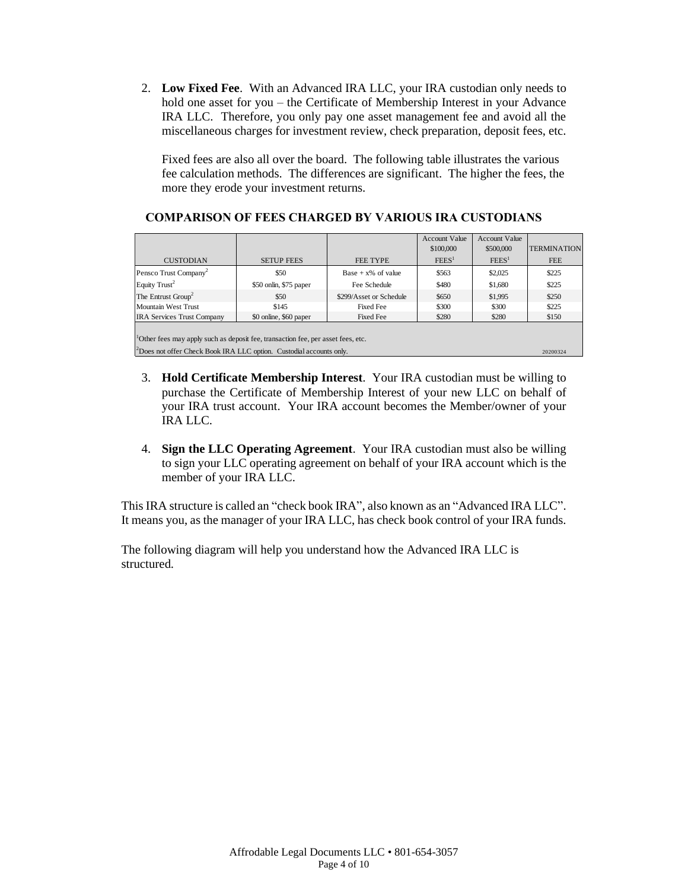2. **Low Fixed Fee**. With an Advanced IRA LLC, your IRA custodian only needs to hold one asset for you – the Certificate of Membership Interest in your Advance IRA LLC. Therefore, you only pay one asset management fee and avoid all the miscellaneous charges for investment review, check preparation, deposit fees, etc.

Fixed fees are also all over the board. The following table illustrates the various fee calculation methods. The differences are significant. The higher the fees, the more they erode your investment returns.

|                                                                                 |                        |                         | <b>Account Value</b> | <b>Account Value</b> |                    |  |
|---------------------------------------------------------------------------------|------------------------|-------------------------|----------------------|----------------------|--------------------|--|
|                                                                                 |                        |                         | \$100,000            | \$500,000            | <b>TERMINATION</b> |  |
| <b>CUSTODIAN</b>                                                                | <b>SETUP FEES</b>      | <b>FEE TYPE</b>         | FEES <sup>1</sup>    | FEES <sup>1</sup>    | <b>FEE</b>         |  |
| Pensco Trust Company <sup>2</sup>                                               | \$50                   | $Base + x\%$ of value   | \$563                | \$2,025              | \$225              |  |
| Equity $Trust2$                                                                 | \$50 onlin, \$75 paper | Fee Schedule            | \$480                | \$1,680              | \$225              |  |
| The Entrust $Group2$                                                            | \$50                   | \$299/Asset or Schedule | \$650                | \$1,995              | \$250              |  |
| Mountain West Trust                                                             | \$145                  | <b>Fixed Fee</b>        | \$300                | \$300                | \$225              |  |
| <b>IRA Services Trust Company</b>                                               | \$0 online, \$60 paper | <b>Fixed Fee</b>        | \$280                | \$280                | \$150              |  |
|                                                                                 |                        |                         |                      |                      |                    |  |
| Other fees may apply such as deposit fee, transaction fee, per asset fees, etc. |                        |                         |                      |                      |                    |  |
| <sup>2</sup> Does not offer Check Book IRA LLC option. Custodial accounts only. |                        |                         |                      |                      | 20200324           |  |

### **COMPARISON OF FEES CHARGED BY VARIOUS IRA CUSTODIANS**

- 3. **Hold Certificate Membership Interest**. Your IRA custodian must be willing to purchase the Certificate of Membership Interest of your new LLC on behalf of your IRA trust account. Your IRA account becomes the Member/owner of your IRA LLC.
- 4. **Sign the LLC Operating Agreement**. Your IRA custodian must also be willing to sign your LLC operating agreement on behalf of your IRA account which is the member of your IRA LLC.

This IRA structure is called an "check book IRA", also known as an "Advanced IRA LLC". It means you, as the manager of your IRA LLC, has check book control of your IRA funds.

The following diagram will help you understand how the Advanced IRA LLC is structured.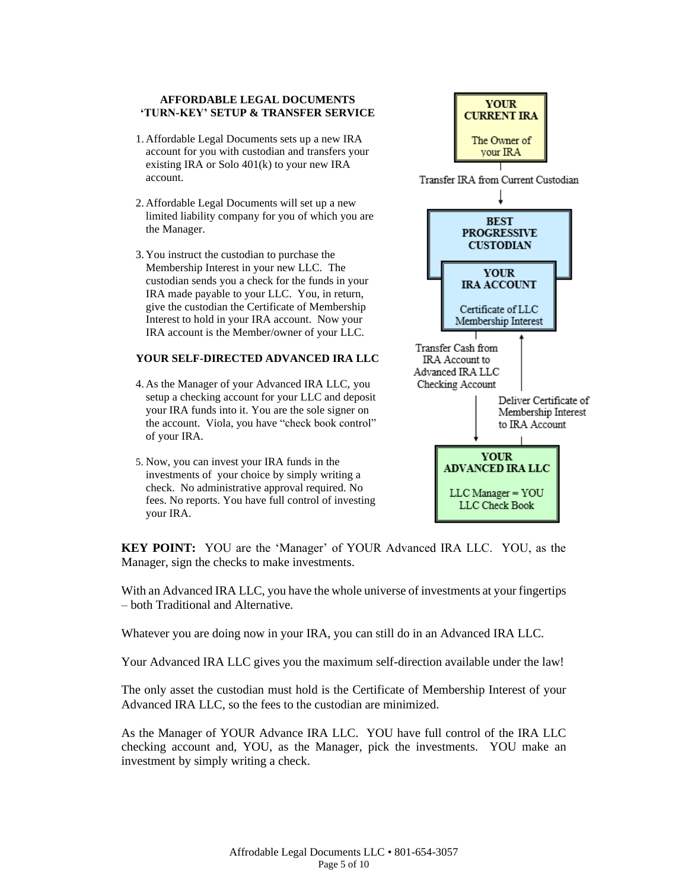#### **AFFORDABLE LEGAL DOCUMENTS 'TURN-KEY' SETUP & TRANSFER SERVICE**

- 1. Affordable Legal Documents sets up a new IRA account for you with custodian and transfers your existing IRA or Solo 401(k) to your new IRA account.
- 2. Affordable Legal Documents will set up a new limited liability company for you of which you are the Manager.
- 3. You instruct the custodian to purchase the Membership Interest in your new LLC. The custodian sends you a check for the funds in your IRA made payable to your LLC. You, in return, give the custodian the Certificate of Membership Interest to hold in your IRA account. Now your IRA account is the Member/owner of your LLC.

#### **YOUR SELF-DIRECTED ADVANCED IRA LLC**

- 4. As the Manager of your Advanced IRA LLC, you setup a checking account for your LLC and deposit your IRA funds into it. You are the sole signer on the account. Viola, you have "check book control" of your IRA.
- 5. Now, you can invest your IRA funds in the investments of your choice by simply writing a check. No administrative approval required. No fees. No reports. You have full control of investing your IRA.



**KEY POINT:** YOU are the 'Manager' of YOUR Advanced IRA LLC. YOU, as the Manager, sign the checks to make investments.

With an Advanced IRA LLC, you have the whole universe of investments at your fingertips – both Traditional and Alternative.

Whatever you are doing now in your IRA, you can still do in an Advanced IRA LLC.

Your Advanced IRA LLC gives you the maximum self-direction available under the law!

The only asset the custodian must hold is the Certificate of Membership Interest of your Advanced IRA LLC, so the fees to the custodian are minimized.

As the Manager of YOUR Advance IRA LLC. YOU have full control of the IRA LLC checking account and, YOU, as the Manager, pick the investments. YOU make an investment by simply writing a check.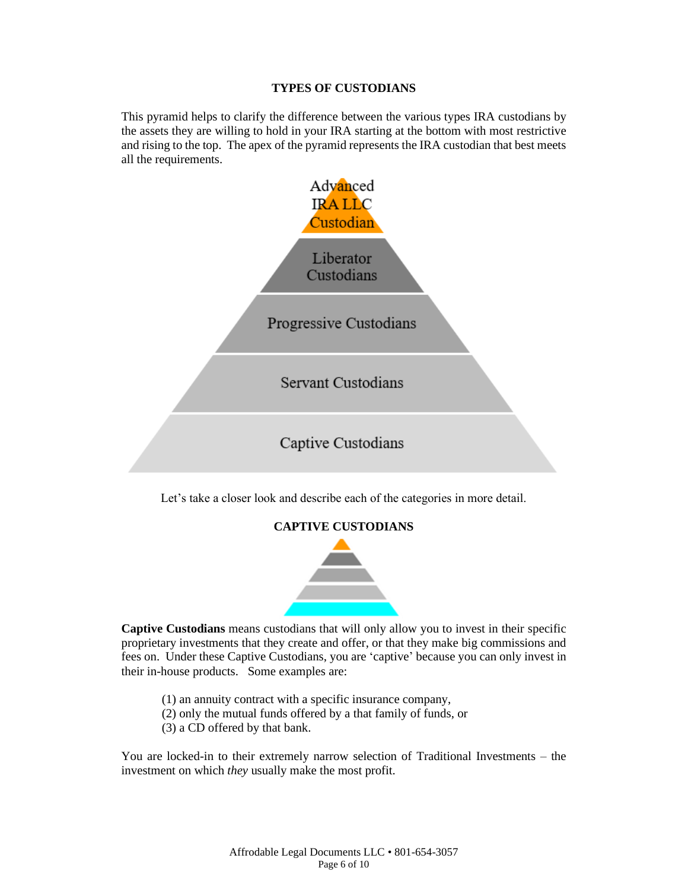### **TYPES OF CUSTODIANS**

This pyramid helps to clarify the difference between the various types IRA custodians by the assets they are willing to hold in your IRA starting at the bottom with most restrictive and rising to the top. The apex of the pyramid represents the IRA custodian that best meets all the requirements.



Let's take a closer look and describe each of the categories in more detail.



**Captive Custodians** means custodians that will only allow you to invest in their specific proprietary investments that they create and offer, or that they make big commissions and fees on. Under these Captive Custodians, you are 'captive' because you can only invest in their in-house products. Some examples are:

- (1) an annuity contract with a specific insurance company,
- (2) only the mutual funds offered by a that family of funds, or
- (3) a CD offered by that bank.

You are locked-in to their extremely narrow selection of Traditional Investments – the investment on which *they* usually make the most profit.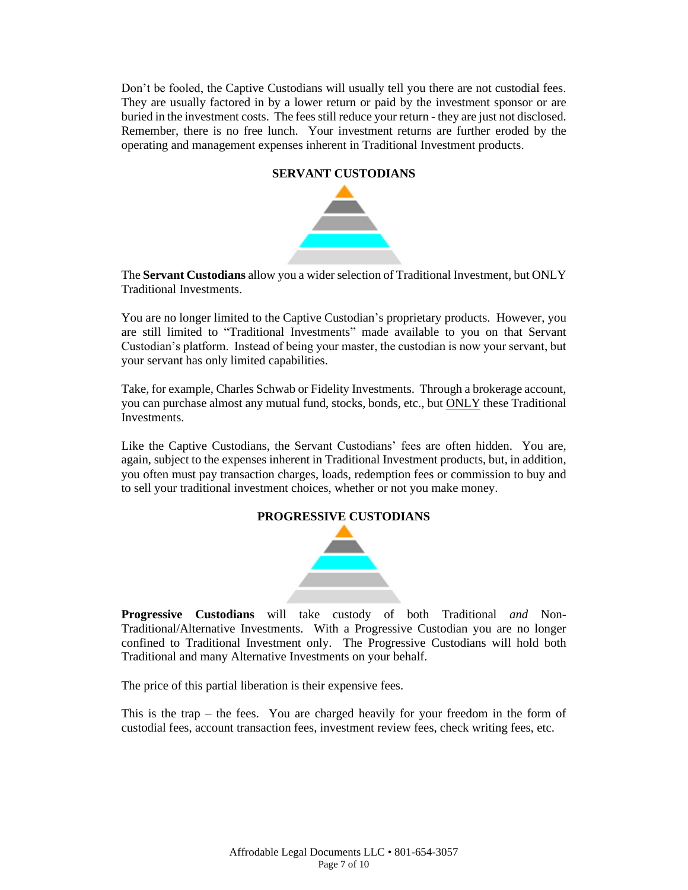Don't be fooled, the Captive Custodians will usually tell you there are not custodial fees. They are usually factored in by a lower return or paid by the investment sponsor or are buried in the investment costs. The fees still reduce your return - they are just not disclosed. Remember, there is no free lunch. Your investment returns are further eroded by the operating and management expenses inherent in Traditional Investment products.

# **SERVANT CUSTODIANS**



The **Servant Custodians** allow you a wider selection of Traditional Investment, but ONLY Traditional Investments.

You are no longer limited to the Captive Custodian's proprietary products. However, you are still limited to "Traditional Investments" made available to you on that Servant Custodian's platform. Instead of being your master, the custodian is now your servant, but your servant has only limited capabilities.

Take, for example, Charles Schwab or Fidelity Investments. Through a brokerage account, you can purchase almost any mutual fund, stocks, bonds, etc., but ONLY these Traditional Investments.

Like the Captive Custodians, the Servant Custodians' fees are often hidden. You are, again, subject to the expenses inherent in Traditional Investment products, but, in addition, you often must pay transaction charges, loads, redemption fees or commission to buy and to sell your traditional investment choices, whether or not you make money.



**Progressive Custodians** will take custody of both Traditional *and* Non-Traditional/Alternative Investments. With a Progressive Custodian you are no longer confined to Traditional Investment only. The Progressive Custodians will hold both Traditional and many Alternative Investments on your behalf.

The price of this partial liberation is their expensive fees.

This is the trap – the fees. You are charged heavily for your freedom in the form of custodial fees, account transaction fees, investment review fees, check writing fees, etc.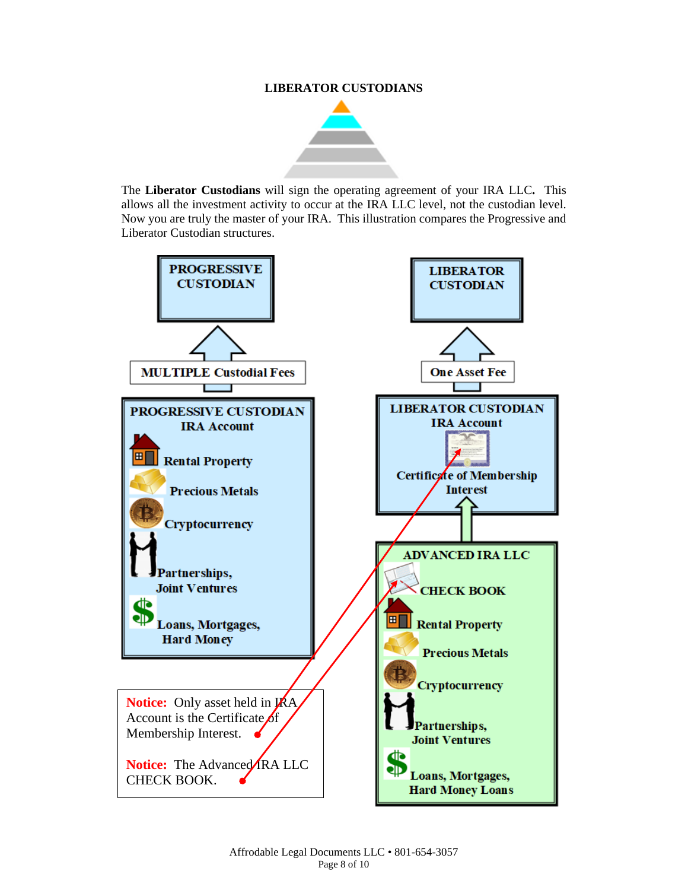# **LIBERATOR CUSTODIANS**



The **Liberator Custodians** will sign the operating agreement of your IRA LLC**.** This allows all the investment activity to occur at the IRA LLC level, not the custodian level. Now you are truly the master of your IRA. This illustration compares the Progressive and Liberator Custodian structures.

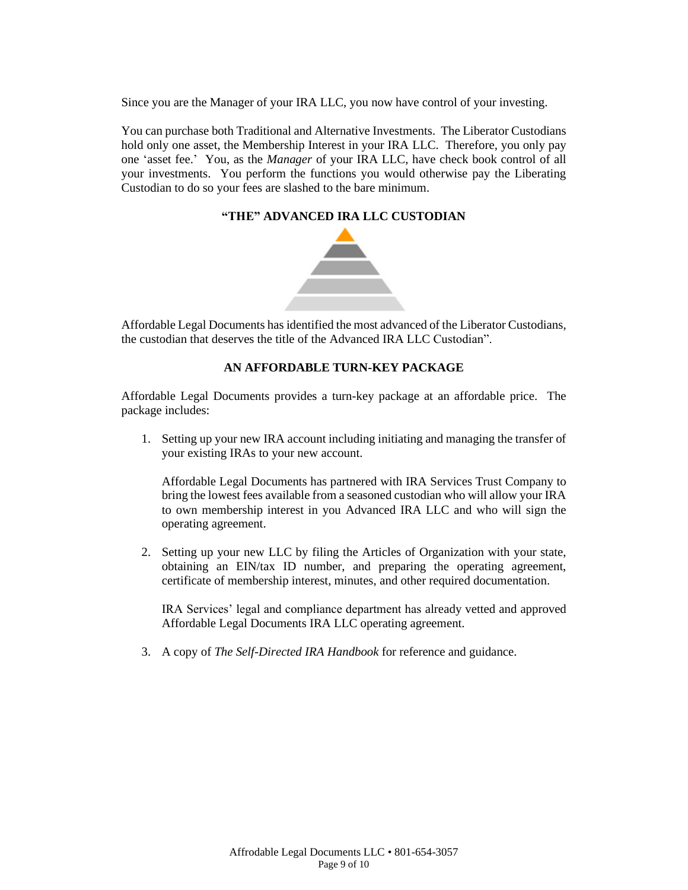Since you are the Manager of your IRA LLC, you now have control of your investing.

You can purchase both Traditional and Alternative Investments. The Liberator Custodians hold only one asset, the Membership Interest in your IRA LLC. Therefore, you only pay one 'asset fee.' You, as the *Manager* of your IRA LLC, have check book control of all your investments. You perform the functions you would otherwise pay the Liberating Custodian to do so your fees are slashed to the bare minimum.

# **"THE" ADVANCED IRA LLC CUSTODIAN**



Affordable Legal Documents has identified the most advanced of the Liberator Custodians, the custodian that deserves the title of the Advanced IRA LLC Custodian".

### **AN AFFORDABLE TURN-KEY PACKAGE**

Affordable Legal Documents provides a turn-key package at an affordable price. The package includes:

1. Setting up your new IRA account including initiating and managing the transfer of your existing IRAs to your new account.

Affordable Legal Documents has partnered with IRA Services Trust Company to bring the lowest fees available from a seasoned custodian who will allow your IRA to own membership interest in you Advanced IRA LLC and who will sign the operating agreement.

2. Setting up your new LLC by filing the Articles of Organization with your state, obtaining an EIN/tax ID number, and preparing the operating agreement, certificate of membership interest, minutes, and other required documentation.

IRA Services' legal and compliance department has already vetted and approved Affordable Legal Documents IRA LLC operating agreement.

3. A copy of *The Self-Directed IRA Handbook* for reference and guidance.